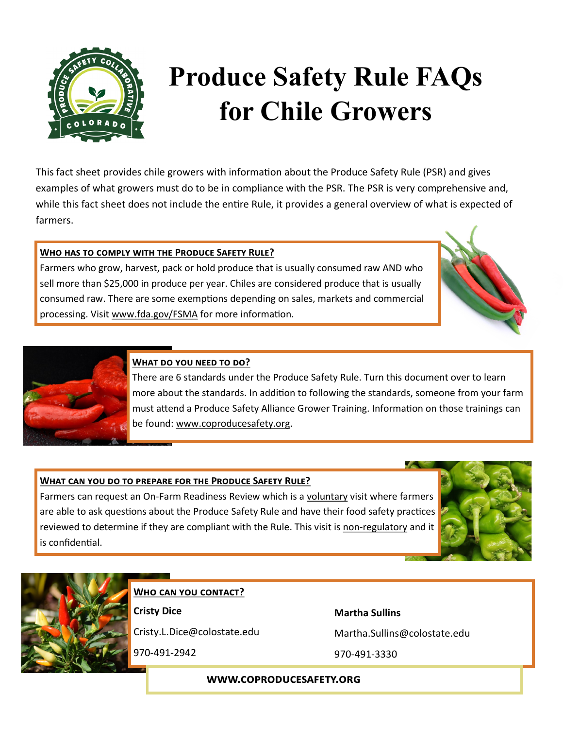

# **Produce Safety Rule FAQs for Chile Growers**

This fact sheet provides chile growers with information about the Produce Safety Rule (PSR) and gives examples of what growers must do to be in compliance with the PSR. The PSR is very comprehensive and, while this fact sheet does not include the entire Rule, it provides a general overview of what is expected of farmers.

## **Who has to comply with the Produce Safety Rule?**

Farmers who grow, harvest, pack or hold produce that is usually consumed raw AND who sell more than \$25,000 in produce per year. Chiles are considered produce that is usually consumed raw. There are some exemptions depending on sales, markets and commercial processing. Visit [www.fda.gov/FSMA](http://www.fda.gov/FSMA) for more information.





## **What do you need to do?**

There are 6 standards under the Produce Safety Rule. Turn this document over to learn more about the standards. In addition to following the standards, someone from your farm must attend a Produce Safety Alliance Grower Training. Information on those trainings can be found: [www.coproducesafety.org.](http://www.coproducesafety.org)

## **What can you do to prepare for the Produce Safety Rule?**

Farmers can request an On-Farm Readiness Review which is a voluntary visit where farmers are able to ask questions about the Produce Safety Rule and have their food safety practices reviewed to determine if they are compliant with the Rule. This visit is non-regulatory and it is confidential.





**Who can you contact?**

**Cristy Dice**

Cristy.L.Dice@colostate.edu

970-491-2942

#### **Martha Sullins**

Martha.Sullins@colostate.edu

970-491-3330

#### **www.coproducesafety.org**